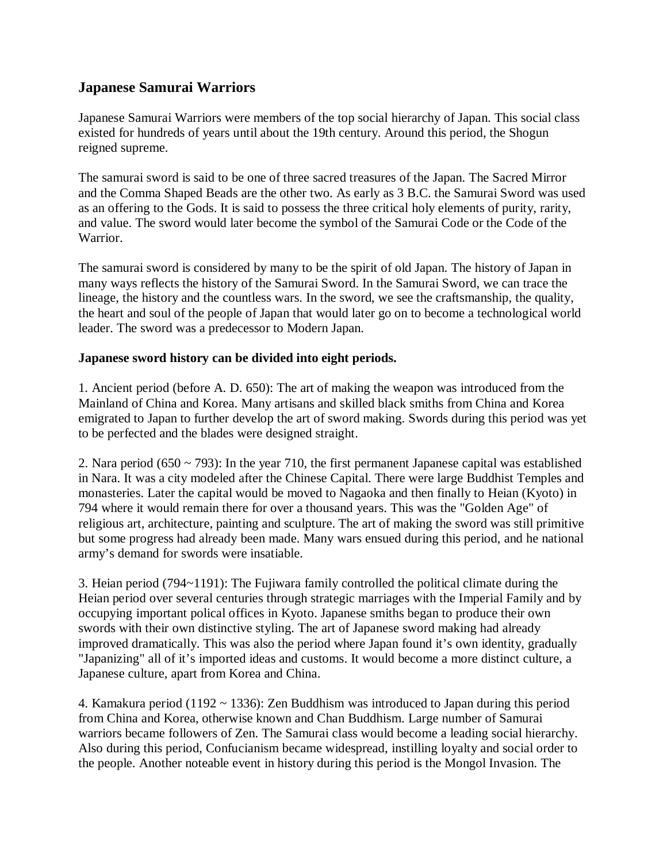# **Japanese Samurai Warriors**

Japanese Samurai Warriors were members of the top social hierarchy of Japan. This social class existed for hundreds of years until about the 19th century. Around this period, the Shogun reigned supreme.

The samurai sword is said to be one of three sacred treasures of the Japan. The Sacred Mirror and the Comma Shaped Beads are the other two. As early as 3 B.C. the Samurai Sword was used as an offering to the Gods. It is said to possess the three critical holy elements of purity, rarity, and value. The sword would later become the symbol of the Samurai Code or the Code of the Warrior.

The samurai sword is considered by many to be the spirit of old Japan. The history of Japan in many ways reflects the history of the Samurai Sword. In the Samurai Sword, we can trace the lineage, the history and the countless wars. In the sword, we see the craftsmanship, the quality, the heart and soul of the people of Japan that would later go on to become a technological world leader. The sword was a predecessor to Modern Japan.

### **Japanese sword history can be divided into eight periods.**

1. Ancient period (before A. D. 650): The art of making the weapon was introduced from the Mainland of China and Korea. Many artisans and skilled black smiths from China and Korea emigrated to Japan to further develop the art of sword making. Swords during this period was yet to be perfected and the blades were designed straight.

2. Nara period  $(650 \sim 793)$ : In the year 710, the first permanent Japanese capital was established in Nara. It was a city modeled after the Chinese Capital. There were large Buddhist Temples and monasteries. Later the capital would be moved to Nagaoka and then finally to Heian (Kyoto) in 794 where it would remain there for over a thousand years. This was the "Golden Age" of religious art, architecture, painting and sculpture. The art of making the sword was still primitive but some progress had already been made. Many wars ensued during this period, and he national army's demand for swords were insatiable.

3. Heian period (794~1191): The Fujiwara family controlled the political climate during the Heian period over several centuries through strategic marriages with the Imperial Family and by occupying important polical offices in Kyoto. Japanese smiths began to produce their own swords with their own distinctive styling. The art of Japanese sword making had already improved dramatically. This was also the period where Japan found it's own identity, gradually "Japanizing" all of it's imported ideas and customs. It would become a more distinct culture, a Japanese culture, apart from Korea and China.

4. Kamakura period (1192 ~ 1336): Zen Buddhism was introduced to Japan during this period from China and Korea, otherwise known and Chan Buddhism. Large number of Samurai warriors became followers of Zen. The Samurai class would become a leading social hierarchy. Also during this period, Confucianism became widespread, instilling loyalty and social order to the people. Another noteable event in history during this period is the Mongol Invasion. The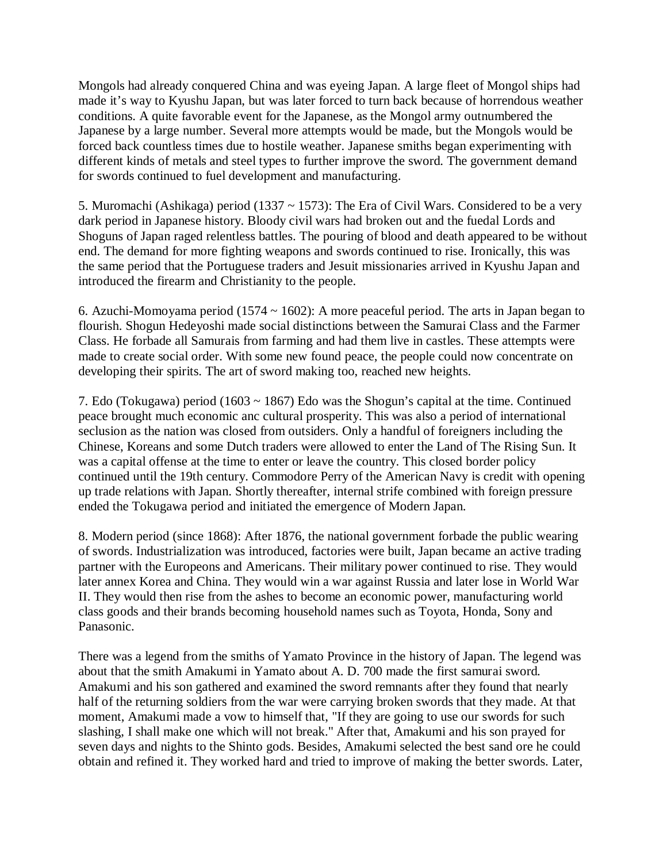Mongols had already conquered China and was eyeing Japan. A large fleet of Mongol ships had made it's way to Kyushu Japan, but was later forced to turn back because of horrendous weather conditions. A quite favorable event for the Japanese, as the Mongol army outnumbered the Japanese by a large number. Several more attempts would be made, but the Mongols would be forced back countless times due to hostile weather. Japanese smiths began experimenting with different kinds of metals and steel types to further improve the sword. The government demand for swords continued to fuel development and manufacturing.

5. Muromachi (Ashikaga) period (1337 ~ 1573): The Era of Civil Wars. Considered to be a very dark period in Japanese history. Bloody civil wars had broken out and the fuedal Lords and Shoguns of Japan raged relentless battles. The pouring of blood and death appeared to be without end. The demand for more fighting weapons and swords continued to rise. Ironically, this was the same period that the Portuguese traders and Jesuit missionaries arrived in Kyushu Japan and introduced the firearm and Christianity to the people.

6. Azuchi-Momoyama period (1574 ~ 1602): A more peaceful period. The arts in Japan began to flourish. Shogun Hedeyoshi made social distinctions between the Samurai Class and the Farmer Class. He forbade all Samurais from farming and had them live in castles. These attempts were made to create social order. With some new found peace, the people could now concentrate on developing their spirits. The art of sword making too, reached new heights.

7. Edo (Tokugawa) period (1603 ~ 1867) Edo was the Shogun's capital at the time. Continued peace brought much economic anc cultural prosperity. This was also a period of international seclusion as the nation was closed from outsiders. Only a handful of foreigners including the Chinese, Koreans and some Dutch traders were allowed to enter the Land of The Rising Sun. It was a capital offense at the time to enter or leave the country. This closed border policy continued until the 19th century. Commodore Perry of the American Navy is credit with opening up trade relations with Japan. Shortly thereafter, internal strife combined with foreign pressure ended the Tokugawa period and initiated the emergence of Modern Japan.

8. Modern period (since 1868): After 1876, the national government forbade the public wearing of swords. Industrialization was introduced, factories were built, Japan became an active trading partner with the Europeons and Americans. Their military power continued to rise. They would later annex Korea and China. They would win a war against Russia and later lose in World War II. They would then rise from the ashes to become an economic power, manufacturing world class goods and their brands becoming household names such as Toyota, Honda, Sony and Panasonic.

There was a legend from the smiths of Yamato Province in the history of Japan. The legend was about that the smith Amakumi in Yamato about A. D. 700 made the first samurai sword. Amakumi and his son gathered and examined the sword remnants after they found that nearly half of the returning soldiers from the war were carrying broken swords that they made. At that moment, Amakumi made a vow to himself that, "If they are going to use our swords for such slashing, I shall make one which will not break." After that, Amakumi and his son prayed for seven days and nights to the Shinto gods. Besides, Amakumi selected the best sand ore he could obtain and refined it. They worked hard and tried to improve of making the better swords. Later,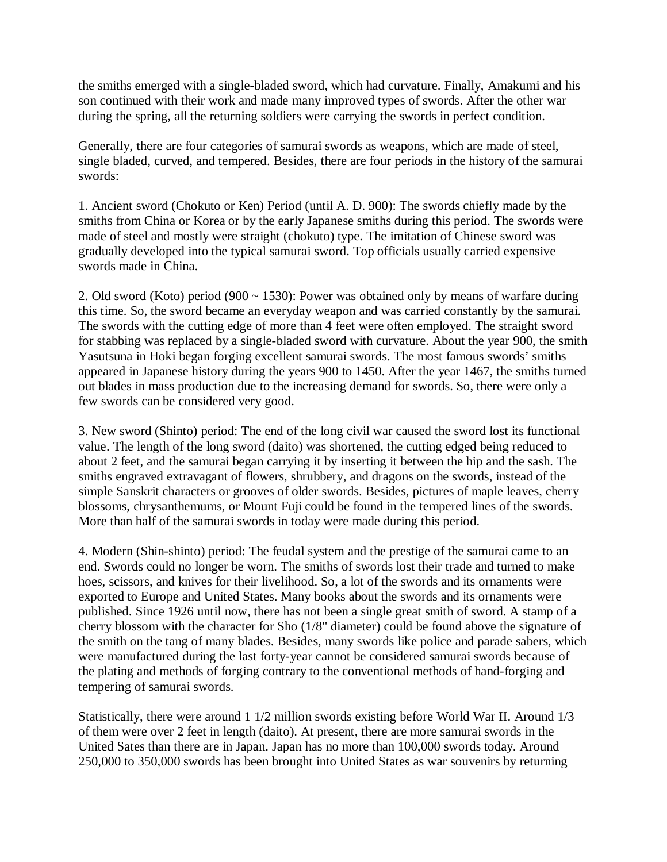the smiths emerged with a single-bladed sword, which had curvature. Finally, Amakumi and his son continued with their work and made many improved types of swords. After the other war during the spring, all the returning soldiers were carrying the swords in perfect condition.

Generally, there are four categories of samurai swords as weapons, which are made of steel, single bladed, curved, and tempered. Besides, there are four periods in the history of the samurai swords:

1. Ancient sword (Chokuto or Ken) Period (until A. D. 900): The swords chiefly made by the smiths from China or Korea or by the early Japanese smiths during this period. The swords were made of steel and mostly were straight (chokuto) type. The imitation of Chinese sword was gradually developed into the typical samurai sword. Top officials usually carried expensive swords made in China.

2. Old sword (Koto) period (900 ~ 1530): Power was obtained only by means of warfare during this time. So, the sword became an everyday weapon and was carried constantly by the samurai. The swords with the cutting edge of more than 4 feet were often employed. The straight sword for stabbing was replaced by a single-bladed sword with curvature. About the year 900, the smith Yasutsuna in Hoki began forging excellent samurai swords. The most famous swords' smiths appeared in Japanese history during the years 900 to 1450. After the year 1467, the smiths turned out blades in mass production due to the increasing demand for swords. So, there were only a few swords can be considered very good.

3. New sword (Shinto) period: The end of the long civil war caused the sword lost its functional value. The length of the long sword (daito) was shortened, the cutting edged being reduced to about 2 feet, and the samurai began carrying it by inserting it between the hip and the sash. The smiths engraved extravagant of flowers, shrubbery, and dragons on the swords, instead of the simple Sanskrit characters or grooves of older swords. Besides, pictures of maple leaves, cherry blossoms, chrysanthemums, or Mount Fuji could be found in the tempered lines of the swords. More than half of the samurai swords in today were made during this period.

4. Modern (Shin-shinto) period: The feudal system and the prestige of the samurai came to an end. Swords could no longer be worn. The smiths of swords lost their trade and turned to make hoes, scissors, and knives for their livelihood. So, a lot of the swords and its ornaments were exported to Europe and United States. Many books about the swords and its ornaments were published. Since 1926 until now, there has not been a single great smith of sword. A stamp of a cherry blossom with the character for Sho (1/8" diameter) could be found above the signature of the smith on the tang of many blades. Besides, many swords like police and parade sabers, which were manufactured during the last forty-year cannot be considered samurai swords because of the plating and methods of forging contrary to the conventional methods of hand-forging and tempering of samurai swords.

Statistically, there were around 1 1/2 million swords existing before World War II. Around 1/3 of them were over 2 feet in length (daito). At present, there are more samurai swords in the United Sates than there are in Japan. Japan has no more than 100,000 swords today. Around 250,000 to 350,000 swords has been brought into United States as war souvenirs by returning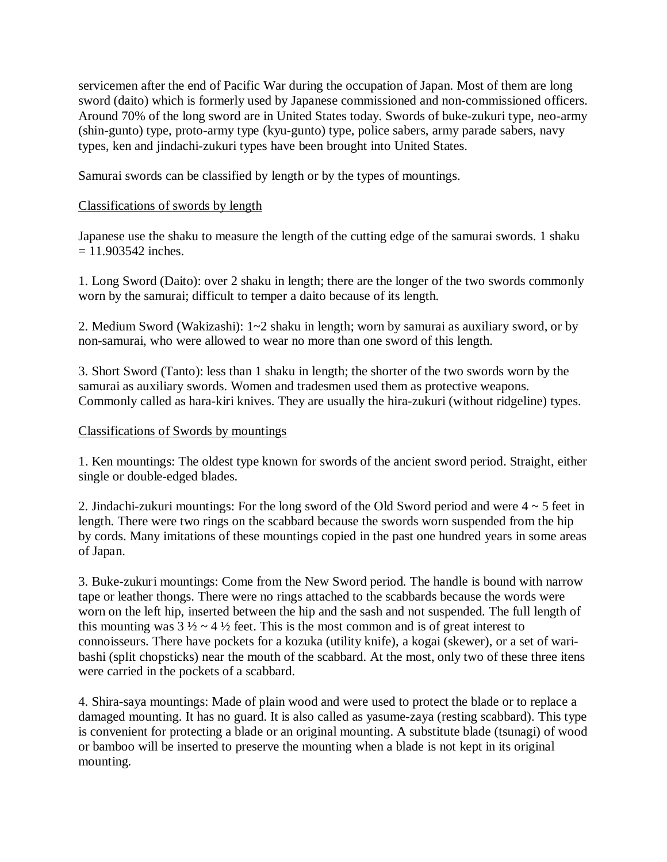servicemen after the end of Pacific War during the occupation of Japan. Most of them are long sword (daito) which is formerly used by Japanese commissioned and non-commissioned officers. Around 70% of the long sword are in United States today. Swords of buke-zukuri type, neo-army (shin-gunto) type, proto-army type (kyu-gunto) type, police sabers, army parade sabers, navy types, ken and jindachi-zukuri types have been brought into United States.

Samurai swords can be classified by length or by the types of mountings.

## Classifications of swords by length

Japanese use the shaku to measure the length of the cutting edge of the samurai swords. 1 shaku  $= 11.903542$  inches.

1. Long Sword (Daito): over 2 shaku in length; there are the longer of the two swords commonly worn by the samurai; difficult to temper a daito because of its length.

2. Medium Sword (Wakizashi): 1~2 shaku in length; worn by samurai as auxiliary sword, or by non-samurai, who were allowed to wear no more than one sword of this length.

3. Short Sword (Tanto): less than 1 shaku in length; the shorter of the two swords worn by the samurai as auxiliary swords. Women and tradesmen used them as protective weapons. Commonly called as hara-kiri knives. They are usually the hira-zukuri (without ridgeline) types.

## Classifications of Swords by mountings

1. Ken mountings: The oldest type known for swords of the ancient sword period. Straight, either single or double-edged blades.

2. Jindachi-zukuri mountings: For the long sword of the Old Sword period and were 4 ~ 5 feet in length. There were two rings on the scabbard because the swords worn suspended from the hip by cords. Many imitations of these mountings copied in the past one hundred years in some areas of Japan.

3. Buke-zukuri mountings: Come from the New Sword period. The handle is bound with narrow tape or leather thongs. There were no rings attached to the scabbards because the words were worn on the left hip, inserted between the hip and the sash and not suspended. The full length of this mounting was  $3\frac{1}{2} \sim 4\frac{1}{2}$  feet. This is the most common and is of great interest to connoisseurs. There have pockets for a kozuka (utility knife), a kogai (skewer), or a set of waribashi (split chopsticks) near the mouth of the scabbard. At the most, only two of these three itens were carried in the pockets of a scabbard.

4. Shira-saya mountings: Made of plain wood and were used to protect the blade or to replace a damaged mounting. It has no guard. It is also called as yasume-zaya (resting scabbard). This type is convenient for protecting a blade or an original mounting. A substitute blade (tsunagi) of wood or bamboo will be inserted to preserve the mounting when a blade is not kept in its original mounting.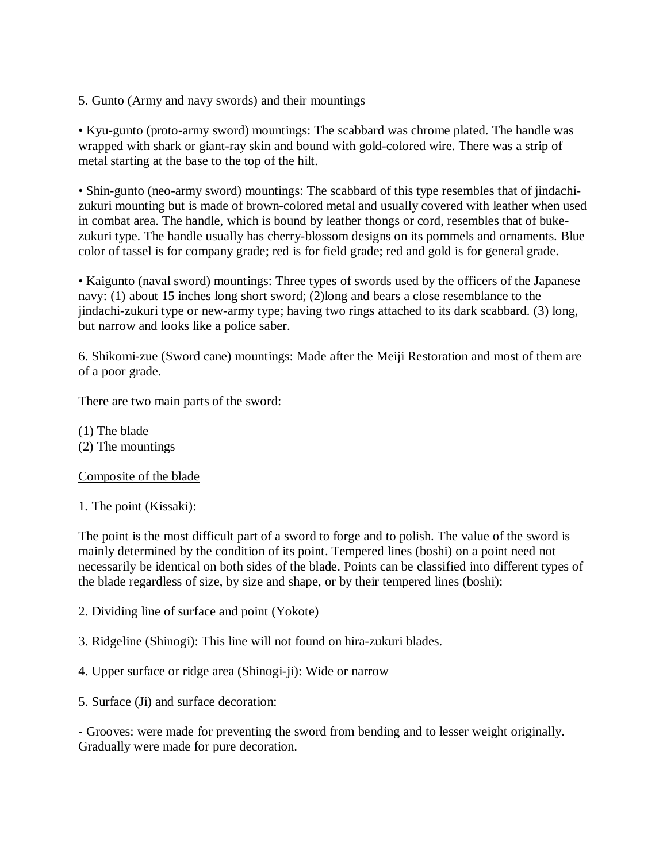5. Gunto (Army and navy swords) and their mountings

• Kyu-gunto (proto-army sword) mountings: The scabbard was chrome plated. The handle was wrapped with shark or giant-ray skin and bound with gold-colored wire. There was a strip of metal starting at the base to the top of the hilt.

• Shin-gunto (neo-army sword) mountings: The scabbard of this type resembles that of jindachizukuri mounting but is made of brown-colored metal and usually covered with leather when used in combat area. The handle, which is bound by leather thongs or cord, resembles that of bukezukuri type. The handle usually has cherry-blossom designs on its pommels and ornaments. Blue color of tassel is for company grade; red is for field grade; red and gold is for general grade.

• Kaigunto (naval sword) mountings: Three types of swords used by the officers of the Japanese navy: (1) about 15 inches long short sword; (2)long and bears a close resemblance to the jindachi-zukuri type or new-army type; having two rings attached to its dark scabbard. (3) long, but narrow and looks like a police saber.

6. Shikomi-zue (Sword cane) mountings: Made after the Meiji Restoration and most of them are of a poor grade.

There are two main parts of the sword:

(1) The blade (2) The mountings

### Composite of the blade

1. The point (Kissaki):

The point is the most difficult part of a sword to forge and to polish. The value of the sword is mainly determined by the condition of its point. Tempered lines (boshi) on a point need not necessarily be identical on both sides of the blade. Points can be classified into different types of the blade regardless of size, by size and shape, or by their tempered lines (boshi):

- 2. Dividing line of surface and point (Yokote)
- 3. Ridgeline (Shinogi): This line will not found on hira-zukuri blades.
- 4. Upper surface or ridge area (Shinogi-ji): Wide or narrow
- 5. Surface (Ji) and surface decoration:

- Grooves: were made for preventing the sword from bending and to lesser weight originally. Gradually were made for pure decoration.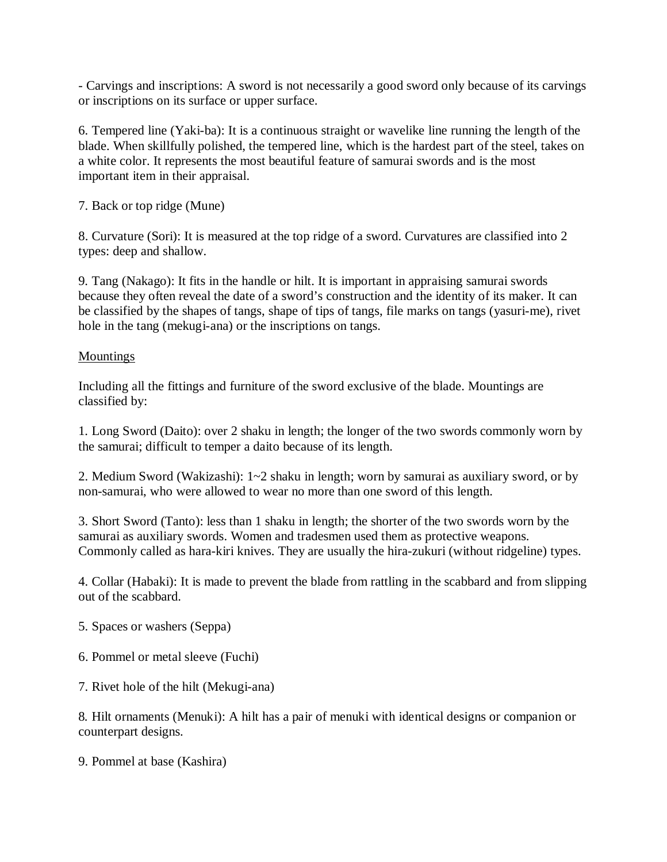- Carvings and inscriptions: A sword is not necessarily a good sword only because of its carvings or inscriptions on its surface or upper surface.

6. Tempered line (Yaki-ba): It is a continuous straight or wavelike line running the length of the blade. When skillfully polished, the tempered line, which is the hardest part of the steel, takes on a white color. It represents the most beautiful feature of samurai swords and is the most important item in their appraisal.

7. Back or top ridge (Mune)

8. Curvature (Sori): It is measured at the top ridge of a sword. Curvatures are classified into 2 types: deep and shallow.

9. Tang (Nakago): It fits in the handle or hilt. It is important in appraising samurai swords because they often reveal the date of a sword's construction and the identity of its maker. It can be classified by the shapes of tangs, shape of tips of tangs, file marks on tangs (yasuri-me), rivet hole in the tang (mekugi-ana) or the inscriptions on tangs.

### Mountings

Including all the fittings and furniture of the sword exclusive of the blade. Mountings are classified by:

1. Long Sword (Daito): over 2 shaku in length; the longer of the two swords commonly worn by the samurai; difficult to temper a daito because of its length.

2. Medium Sword (Wakizashi): 1~2 shaku in length; worn by samurai as auxiliary sword, or by non-samurai, who were allowed to wear no more than one sword of this length.

3. Short Sword (Tanto): less than 1 shaku in length; the shorter of the two swords worn by the samurai as auxiliary swords. Women and tradesmen used them as protective weapons. Commonly called as hara-kiri knives. They are usually the hira-zukuri (without ridgeline) types.

4. Collar (Habaki): It is made to prevent the blade from rattling in the scabbard and from slipping out of the scabbard.

- 5. Spaces or washers (Seppa)
- 6. Pommel or metal sleeve (Fuchi)
- 7. Rivet hole of the hilt (Mekugi-ana)

8. Hilt ornaments (Menuki): A hilt has a pair of menuki with identical designs or companion or counterpart designs.

9. Pommel at base (Kashira)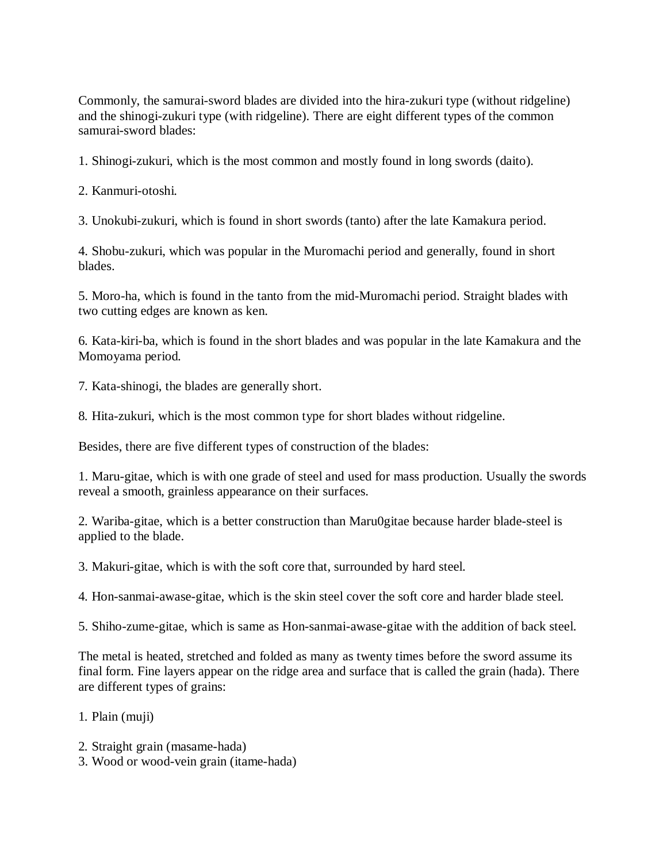Commonly, the samurai-sword blades are divided into the hira-zukuri type (without ridgeline) and the shinogi-zukuri type (with ridgeline). There are eight different types of the common samurai-sword blades:

1. Shinogi-zukuri, which is the most common and mostly found in long swords (daito).

2. Kanmuri-otoshi.

3. Unokubi-zukuri, which is found in short swords (tanto) after the late Kamakura period.

4. Shobu-zukuri, which was popular in the Muromachi period and generally, found in short blades.

5. Moro-ha, which is found in the tanto from the mid-Muromachi period. Straight blades with two cutting edges are known as ken.

6. Kata-kiri-ba, which is found in the short blades and was popular in the late Kamakura and the Momoyama period.

7. Kata-shinogi, the blades are generally short.

8. Hita-zukuri, which is the most common type for short blades without ridgeline.

Besides, there are five different types of construction of the blades:

1. Maru-gitae, which is with one grade of steel and used for mass production. Usually the swords reveal a smooth, grainless appearance on their surfaces.

2. Wariba-gitae, which is a better construction than Maru0gitae because harder blade-steel is applied to the blade.

3. Makuri-gitae, which is with the soft core that, surrounded by hard steel.

4. Hon-sanmai-awase-gitae, which is the skin steel cover the soft core and harder blade steel.

5. Shiho-zume-gitae, which is same as Hon-sanmai-awase-gitae with the addition of back steel.

The metal is heated, stretched and folded as many as twenty times before the sword assume its final form. Fine layers appear on the ridge area and surface that is called the grain (hada). There are different types of grains:

1. Plain (muji)

- 2. Straight grain (masame-hada)
- 3. Wood or wood-vein grain (itame-hada)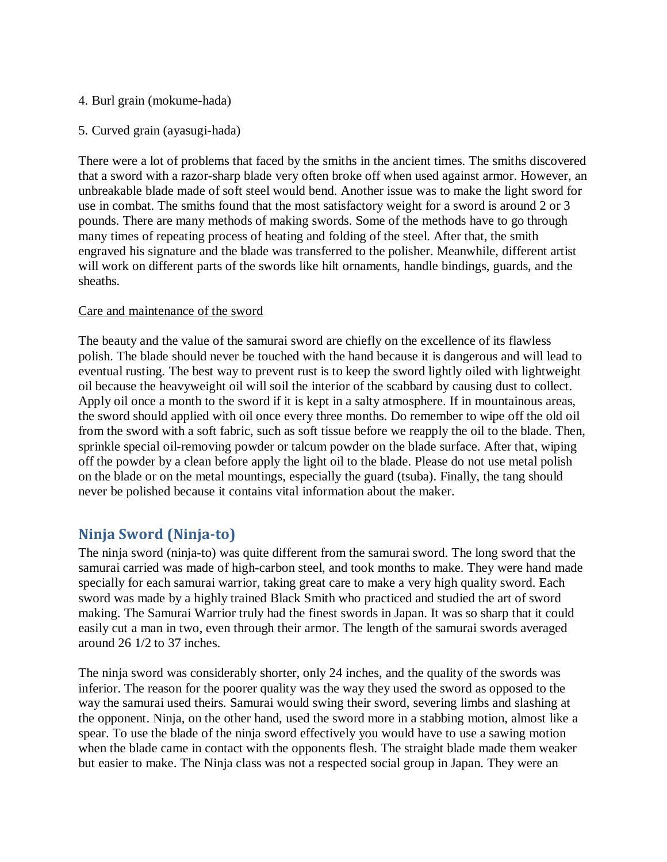- 4. Burl grain (mokume-hada)
- 5. Curved grain (ayasugi-hada)

There were a lot of problems that faced by the smiths in the ancient times. The smiths discovered that a sword with a razor-sharp blade very often broke off when used against armor. However, an unbreakable blade made of soft steel would bend. Another issue was to make the light sword for use in combat. The smiths found that the most satisfactory weight for a sword is around 2 or 3 pounds. There are many methods of making swords. Some of the methods have to go through many times of repeating process of heating and folding of the steel. After that, the smith engraved his signature and the blade was transferred to the polisher. Meanwhile, different artist will work on different parts of the swords like hilt ornaments, handle bindings, guards, and the sheaths.

#### Care and maintenance of the sword

The beauty and the value of the samurai sword are chiefly on the excellence of its flawless polish. The blade should never be touched with the hand because it is dangerous and will lead to eventual rusting. The best way to prevent rust is to keep the sword lightly oiled with lightweight oil because the heavyweight oil will soil the interior of the scabbard by causing dust to collect. Apply oil once a month to the sword if it is kept in a salty atmosphere. If in mountainous areas, the sword should applied with oil once every three months. Do remember to wipe off the old oil from the sword with a soft fabric, such as soft tissue before we reapply the oil to the blade. Then, sprinkle special oil-removing powder or talcum powder on the blade surface. After that, wiping off the powder by a clean before apply the light oil to the blade. Please do not use metal polish on the blade or on the metal mountings, especially the guard (tsuba). Finally, the tang should never be polished because it contains vital information about the maker.

# **Ninja Sword (Ninja-to)**

The ninja sword (ninja-to) was quite different from the samurai sword. The long sword that the samurai carried was made of high-carbon steel, and took months to make. They were hand made specially for each samurai warrior, taking great care to make a very high quality sword. Each sword was made by a highly trained Black Smith who practiced and studied the art of sword making. The Samurai Warrior truly had the finest swords in Japan. It was so sharp that it could easily cut a man in two, even through their armor. The length of the samurai swords averaged around 26 1/2 to 37 inches.

The ninja sword was considerably shorter, only 24 inches, and the quality of the swords was inferior. The reason for the poorer quality was the way they used the sword as opposed to the way the samurai used theirs. Samurai would swing their sword, severing limbs and slashing at the opponent. Ninja, on the other hand, used the sword more in a stabbing motion, almost like a spear. To use the blade of the ninja sword effectively you would have to use a sawing motion when the blade came in contact with the opponents flesh. The straight blade made them weaker but easier to make. The Ninja class was not a respected social group in Japan. They were an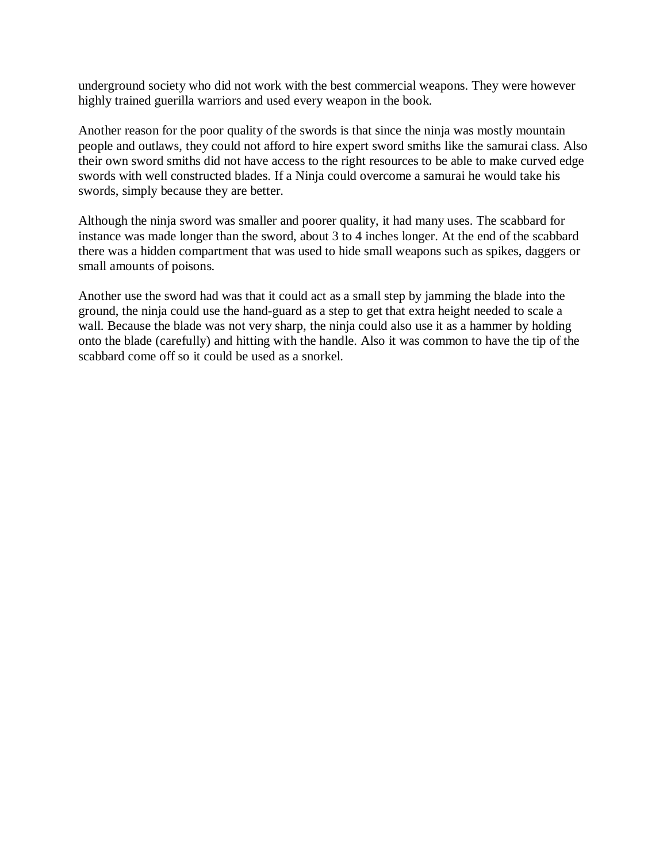underground society who did not work with the best commercial weapons. They were however highly trained guerilla warriors and used every weapon in the book.

Another reason for the poor quality of the swords is that since the ninja was mostly mountain people and outlaws, they could not afford to hire expert sword smiths like the samurai class. Also their own sword smiths did not have access to the right resources to be able to make curved edge swords with well constructed blades. If a Ninja could overcome a samurai he would take his swords, simply because they are better.

Although the ninja sword was smaller and poorer quality, it had many uses. The scabbard for instance was made longer than the sword, about 3 to 4 inches longer. At the end of the scabbard there was a hidden compartment that was used to hide small weapons such as spikes, daggers or small amounts of poisons.

Another use the sword had was that it could act as a small step by jamming the blade into the ground, the ninja could use the hand-guard as a step to get that extra height needed to scale a wall. Because the blade was not very sharp, the ninja could also use it as a hammer by holding onto the blade (carefully) and hitting with the handle. Also it was common to have the tip of the scabbard come off so it could be used as a snorkel.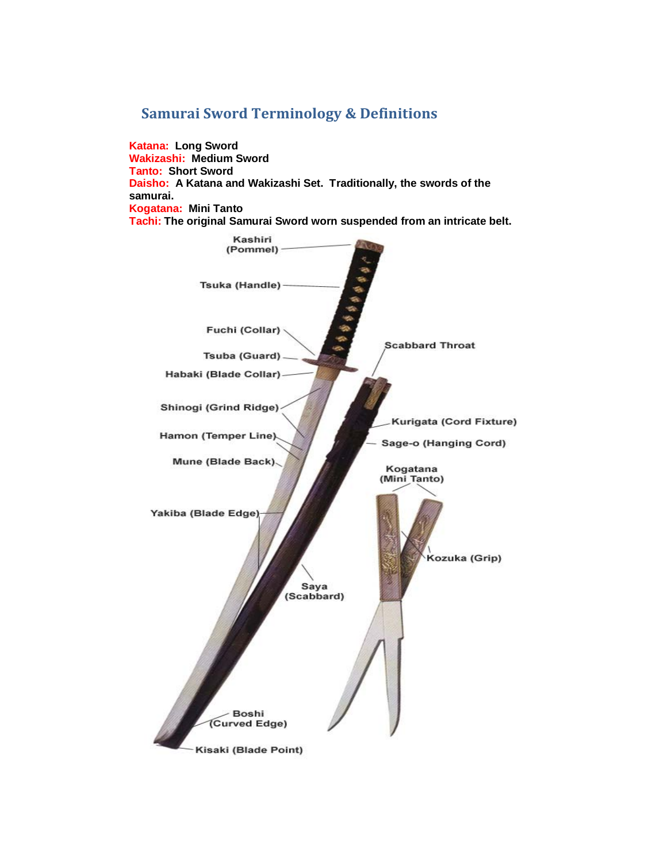# **Samurai Sword Terminology & Definitions**

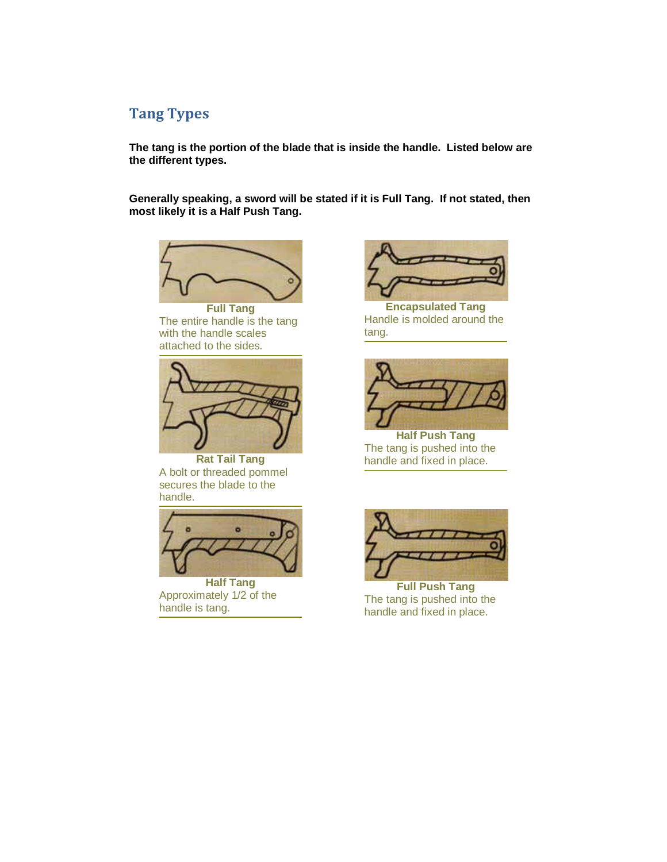# **Tang Types**

**The tang is the portion of the blade that is inside the handle. Listed below are the different types.**

**Generally speaking, a sword will be stated if it is Full Tang. If not stated, then most likely it is a Half Push Tang.**



**Full Tang** The entire handle is the tang with the handle scales attached to the sides.



**Rat Tail Tang** A bolt or threaded pommel secures the blade to the handle.



**Half Tang** Approximately 1/2 of the handle is tang.



**Encapsulated Tang** Handle is molded around the tang.



**Half Push Tang** The tang is pushed into the handle and fixed in place.



**Full Push Tang** The tang is pushed into the handle and fixed in place.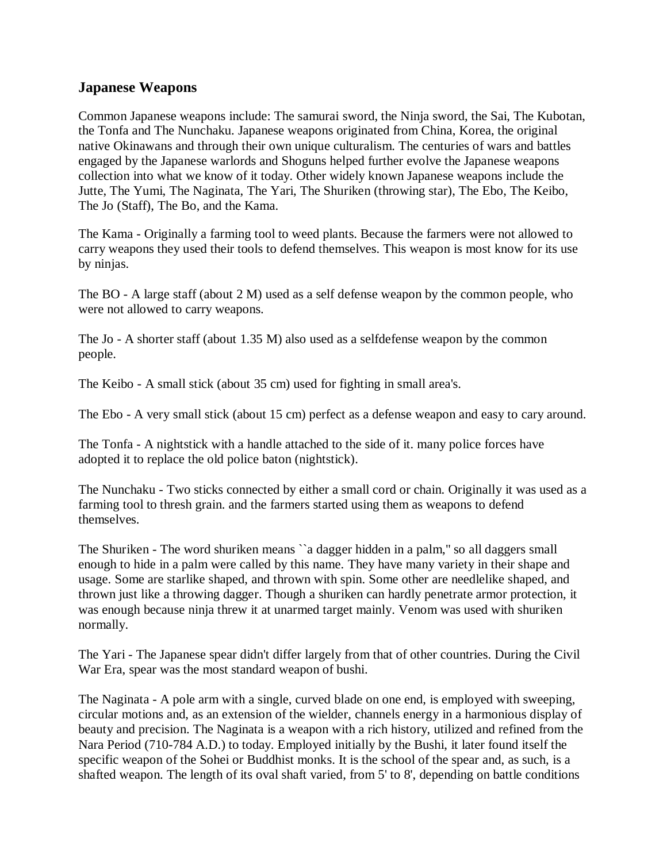## **Japanese Weapons**

Common Japanese weapons include: The samurai sword, the Ninja sword, the Sai, The Kubotan, the Tonfa and The Nunchaku. Japanese weapons originated from China, Korea, the original native Okinawans and through their own unique culturalism. The centuries of wars and battles engaged by the Japanese warlords and Shoguns helped further evolve the Japanese weapons collection into what we know of it today. Other widely known Japanese weapons include the Jutte, The Yumi, The Naginata, The Yari, The Shuriken (throwing star), The Ebo, The Keibo, The Jo (Staff), The Bo, and the Kama.

The Kama - Originally a farming tool to weed plants. Because the farmers were not allowed to carry weapons they used their tools to defend themselves. This weapon is most know for its use by ninjas.

The BO - A large staff (about 2 M) used as a self defense weapon by the common people, who were not allowed to carry weapons.

The Jo - A shorter staff (about 1.35 M) also used as a selfdefense weapon by the common people.

The Keibo - A small stick (about 35 cm) used for fighting in small area's.

The Ebo - A very small stick (about 15 cm) perfect as a defense weapon and easy to cary around.

The Tonfa - A nightstick with a handle attached to the side of it. many police forces have adopted it to replace the old police baton (nightstick).

The Nunchaku - Two sticks connected by either a small cord or chain. Originally it was used as a farming tool to thresh grain. and the farmers started using them as weapons to defend themselves.

The Shuriken - The word shuriken means ``a dagger hidden in a palm,'' so all daggers small enough to hide in a palm were called by this name. They have many variety in their shape and usage. Some are starlike shaped, and thrown with spin. Some other are needlelike shaped, and thrown just like a throwing dagger. Though a shuriken can hardly penetrate armor protection, it was enough because ninja threw it at unarmed target mainly. Venom was used with shuriken normally.

The Yari - The Japanese spear didn't differ largely from that of other countries. During the Civil War Era, spear was the most standard weapon of bushi.

The Naginata - A pole arm with a single, curved blade on one end, is employed with sweeping, circular motions and, as an extension of the wielder, channels energy in a harmonious display of beauty and precision. The Naginata is a weapon with a rich history, utilized and refined from the Nara Period (710-784 A.D.) to today. Employed initially by the Bushi, it later found itself the specific weapon of the Sohei or Buddhist monks. It is the school of the spear and, as such, is a shafted weapon. The length of its oval shaft varied, from 5' to 8', depending on battle conditions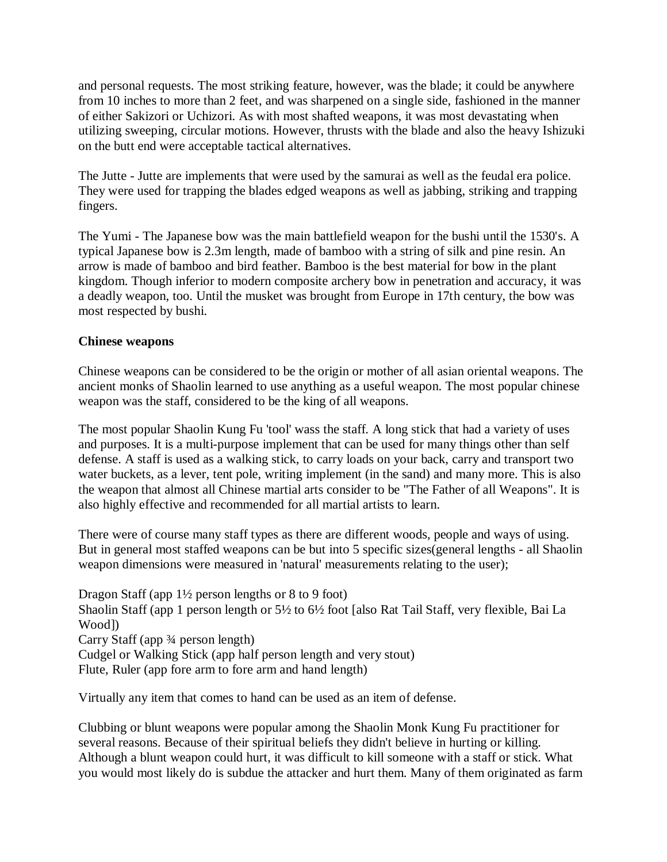and personal requests. The most striking feature, however, was the blade; it could be anywhere from 10 inches to more than 2 feet, and was sharpened on a single side, fashioned in the manner of either Sakizori or Uchizori. As with most shafted weapons, it was most devastating when utilizing sweeping, circular motions. However, thrusts with the blade and also the heavy Ishizuki on the butt end were acceptable tactical alternatives.

The Jutte - Jutte are implements that were used by the samurai as well as the feudal era police. They were used for trapping the blades edged weapons as well as jabbing, striking and trapping fingers.

The Yumi - The Japanese bow was the main battlefield weapon for the bushi until the 1530's. A typical Japanese bow is 2.3m length, made of bamboo with a string of silk and pine resin. An arrow is made of bamboo and bird feather. Bamboo is the best material for bow in the plant kingdom. Though inferior to modern composite archery bow in penetration and accuracy, it was a deadly weapon, too. Until the musket was brought from Europe in 17th century, the bow was most respected by bushi.

### **Chinese weapons**

Chinese weapons can be considered to be the origin or mother of all asian oriental weapons. The ancient monks of Shaolin learned to use anything as a useful weapon. The most popular chinese weapon was the staff, considered to be the king of all weapons.

The most popular Shaolin Kung Fu 'tool' wass the staff. A long stick that had a variety of uses and purposes. It is a multi-purpose implement that can be used for many things other than self defense. A staff is used as a walking stick, to carry loads on your back, carry and transport two water buckets, as a lever, tent pole, writing implement (in the sand) and many more. This is also the weapon that almost all Chinese martial arts consider to be "The Father of all Weapons". It is also highly effective and recommended for all martial artists to learn.

There were of course many staff types as there are different woods, people and ways of using. But in general most staffed weapons can be but into 5 specific sizes(general lengths - all Shaolin weapon dimensions were measured in 'natural' measurements relating to the user);

Dragon Staff (app 1½ person lengths or 8 to 9 foot) Shaolin Staff (app 1 person length or 5½ to 6½ foot [also Rat Tail Staff, very flexible, Bai La Wood]) Carry Staff (app ¾ person length) Cudgel or Walking Stick (app half person length and very stout) Flute, Ruler (app fore arm to fore arm and hand length)

Virtually any item that comes to hand can be used as an item of defense.

Clubbing or blunt weapons were popular among the Shaolin Monk Kung Fu practitioner for several reasons. Because of their spiritual beliefs they didn't believe in hurting or killing. Although a blunt weapon could hurt, it was difficult to kill someone with a staff or stick. What you would most likely do is subdue the attacker and hurt them. Many of them originated as farm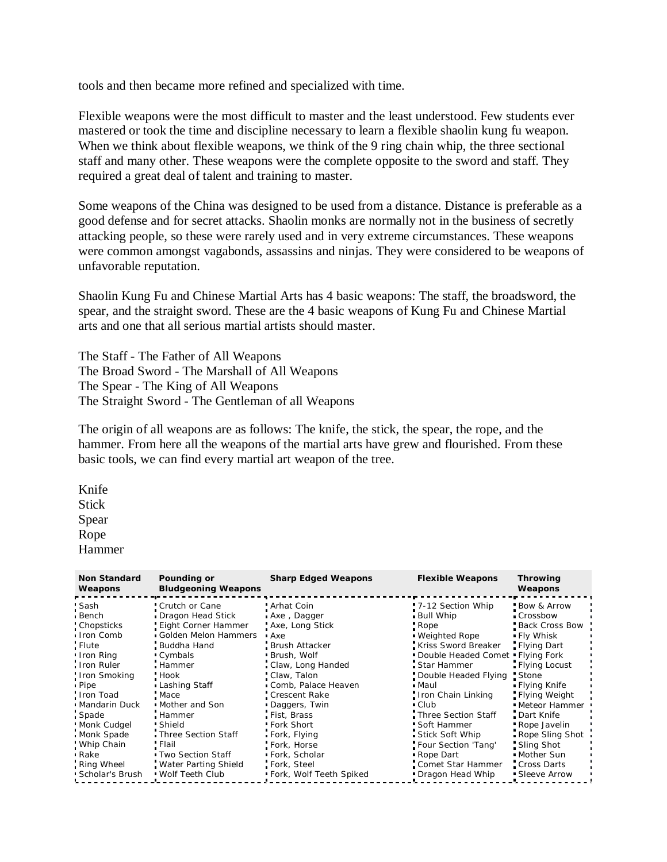tools and then became more refined and specialized with time.

Flexible weapons were the most difficult to master and the least understood. Few students ever mastered or took the time and discipline necessary to learn a flexible shaolin kung fu weapon. When we think about flexible weapons, we think of the 9 ring chain whip, the three sectional staff and many other. These weapons were the complete opposite to the sword and staff. They required a great deal of talent and training to master.

Some weapons of the China was designed to be used from a distance. Distance is preferable as a good defense and for secret attacks. Shaolin monks are normally not in the business of secretly attacking people, so these were rarely used and in very extreme circumstances. These weapons were common amongst vagabonds, assassins and ninjas. They were considered to be weapons of unfavorable reputation.

Shaolin Kung Fu and Chinese Martial Arts has 4 basic weapons: The staff, the broadsword, the spear, and the straight sword. These are the 4 basic weapons of Kung Fu and Chinese Martial arts and one that all serious martial artists should master.

The Staff - The Father of All Weapons The Broad Sword - The Marshall of All Weapons The Spear - The King of All Weapons The Straight Sword - The Gentleman of all Weapons

The origin of all weapons are as follows: The knife, the stick, the spear, the rope, and the hammer. From here all the weapons of the martial arts have grew and flourished. From these basic tools, we can find every martial art weapon of the tree.

Knife Stick Spear Rope Hammer

| <b>Non Standard</b><br>Weapons                                                                                                                                    | Pounding or<br><b>Bludgeoning Weapons</b>                                                                                                                                                      | <b>Sharp Edged Weapons</b>                                                                                                                                                                             | <b>Flexible Weapons</b>                                                                                                                                                                                                              | <b>Throwing</b><br>Weapons                                                                                                                                                                 |
|-------------------------------------------------------------------------------------------------------------------------------------------------------------------|------------------------------------------------------------------------------------------------------------------------------------------------------------------------------------------------|--------------------------------------------------------------------------------------------------------------------------------------------------------------------------------------------------------|--------------------------------------------------------------------------------------------------------------------------------------------------------------------------------------------------------------------------------------|--------------------------------------------------------------------------------------------------------------------------------------------------------------------------------------------|
| Sash<br>. Bench<br><b>Chopsticks</b><br>Iron Comb<br>. Flute<br>Iron Ring<br>Iron Ruler<br>Iron Smoking<br>. Pipe<br>: Iron Toad<br><b>Mandarin Duck</b><br>Spade | Crutch or Cane<br>Dragon Head Stick<br>Eight Corner Hammer<br>Golden Melon Hammers<br>. Buddha Hand<br>■ Cymbals<br>Hammer<br>Hook<br>▪ Lashing Staff<br>Mace:<br>• Mother and Son<br>. Hammer | " Arhat Coin<br>Axe, Dagger<br>Axe, Long Stick<br>• Axe<br>Brush Attacker<br>■ Brush, Wolf<br>Claw, Long Handed<br>Claw, Talon<br>Comb, Palace Heaven<br>Crescent Rake<br>Daggers, Twin<br>Fist, Brass | 7-12 Section Whip<br>Bull Whip<br>: Rope<br><b>Weighted Rope</b><br>Kriss Sword Breaker<br>Double Headed Comet "Flying Fork"<br>Star Hammer<br>Double Headed Flying<br>• Maul<br>Iron Chain Linking<br>• Club<br>Three Section Staff | <b>Bow &amp; Arrow</b><br>■ Crossbow<br>Back Cross Bow<br>. Fly Whisk<br>- Flying Dart<br>Flying Locust<br>Stone:<br>• Flying Knife<br>Flying Weight<br><b>Keteor Hammer</b><br>Dart Knife |
| <b>Monk Cudgel</b><br>Monk Spade<br>Whip Chain<br>• Rake<br>Ring Wheel<br>Scholar's Brush                                                                         | Shield<br>Three Section Staff<br>Flail<br>■ Two Section Staff<br>Water Parting Shield<br><b>Wolf Teeth Club</b>                                                                                | " Fork Short<br>• Fork, Flying<br>Fork, Horse<br>■ Fork, Scholar<br>Fork, Steel<br>■ Fork, Wolf Teeth Spiked                                                                                           | " Soft Hammer<br>Stick Soft Whip<br>Four Section 'Tang'<br>Rope Dart<br>Comet Star Hammer<br>Dragon Head Whip                                                                                                                        | " Rope Javelin<br>Rope Sling Shot<br>Sling Shot<br>• Mother Sun<br>Cross Darts<br>• Sleeve Arrow                                                                                           |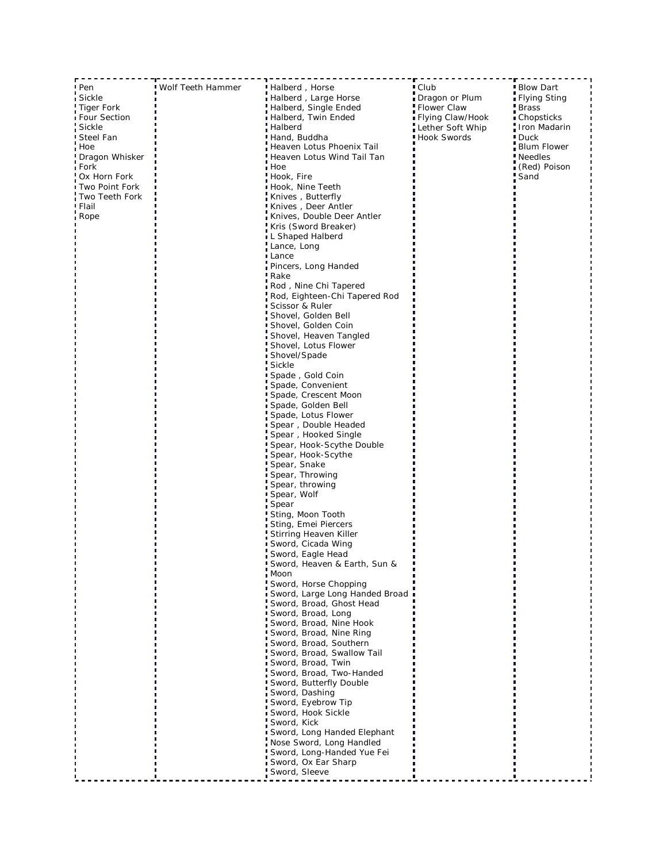|                     | Wolf Teeth Hammer |                                                           | ■ Club           | <b>Blow Dart</b> |
|---------------------|-------------------|-----------------------------------------------------------|------------------|------------------|
| ! Pen<br>Sickle     |                   | Halberd, Horse<br>Halberd, Large Horse                    | Dragon or Plum   | Flying Sting     |
| Tiger Fork          |                   | Halberd, Single Ended                                     | Flower Claw      | <b>Brass</b>     |
| <b>Four Section</b> |                   | Halberd, Twin Ended                                       | Flying Claw/Hook | ∎ Chopsticks     |
| Sickle              |                   | Halberd                                                   | Lether Soft Whip | Iron Madarin     |
| I Steel Fan         |                   | Hand, Buddha                                              | Hook Swords      | ■ Duck           |
| Hoe                 |                   | Heaven Lotus Phoenix Tail                                 |                  | Blum Flower      |
| Dragon Whisker      |                   | Heaven Lotus Wind Tail Tan                                |                  | Needles          |
| i Fork              |                   | i Hoe                                                     |                  | (Red) Poison     |
| Ox Horn Fork        |                   | Hook, Fire                                                |                  | Sand             |
| Two Point Fork      |                   | ■ Hook, Nine Teeth                                        |                  |                  |
| Two Teeth Fork      |                   | Knives, Butterfly                                         |                  |                  |
| ∎ Flail             |                   | ∎Knives , Deer Antler                                     |                  |                  |
| i Rope              |                   | Knives, Double Deer Antler K                              |                  |                  |
|                     |                   | Kris (Sword Breaker)                                      |                  |                  |
|                     |                   | ∎ L Shaped Halberd                                        |                  |                  |
|                     |                   | Lance, Long                                               |                  |                  |
|                     |                   | ■ Lance                                                   |                  |                  |
|                     |                   | Pincers, Long Handed                                      |                  |                  |
|                     |                   | <b>Rake</b>                                               |                  |                  |
|                     |                   | Rod , Nine Chi Tapered .<br>Rod, Eighteen-Chi Tapered Rod |                  |                  |
|                     |                   | Scissor & Ruler                                           |                  |                  |
|                     |                   | Shovel, Golden Bell                                       |                  |                  |
|                     |                   | Shovel, Golden Coin                                       |                  |                  |
|                     |                   | Shovel, Heaven Tangled                                    |                  |                  |
|                     |                   | Shovel, Lotus Flower                                      |                  |                  |
|                     |                   | Shovel/Spade                                              |                  |                  |
|                     |                   | Sickle                                                    |                  |                  |
|                     |                   | Spade, Gold Coin                                          |                  |                  |
|                     |                   | Spade, Convenient                                         |                  |                  |
|                     |                   | Spade, Crescent Moon                                      |                  |                  |
|                     |                   | Spade, Golden Bell                                        |                  |                  |
|                     |                   | Spade, Lotus Flower                                       |                  |                  |
|                     |                   | Spear, Double Headed                                      |                  |                  |
|                     |                   | Spear, Hooked Single                                      |                  |                  |
|                     |                   | Spear, Hook-Scythe Double                                 |                  |                  |
|                     |                   | Spear, Hook-Scythe                                        |                  |                  |
|                     |                   | Spear, Snake                                              |                  |                  |
|                     |                   | Spear, Throwing                                           |                  |                  |
|                     |                   | Spear, throwing                                           |                  |                  |
|                     |                   | Spear, Wolf                                               |                  |                  |
|                     |                   | Spear<br>Sting, Moon Tooth                                |                  |                  |
|                     |                   | Sting, Emei Piercers                                      |                  |                  |
|                     |                   | Stirring Heaven Killer                                    |                  |                  |
|                     |                   | Sword, Cicada Wing                                        |                  |                  |
|                     |                   | Sword, Eagle Head                                         |                  |                  |
|                     |                   | Sword, Heaven & Farth, Sun &                              |                  |                  |
|                     |                   | Moon                                                      |                  |                  |
|                     |                   | Sword, Horse Chopping                                     |                  |                  |
|                     |                   | Sword, Large Long Handed Broad                            |                  |                  |
|                     |                   | Sword, Broad, Ghost Head                                  |                  |                  |
|                     |                   | Sword, Broad, Long                                        |                  |                  |
|                     |                   | Sword, Broad, Nine Hook                                   |                  |                  |
|                     |                   | Sword, Broad, Nine Ring                                   |                  |                  |
|                     |                   | Sword, Broad, Southern                                    |                  |                  |
|                     |                   | Sword, Broad, Swallow Tail                                |                  |                  |
|                     |                   | Sword, Broad, Twin                                        |                  |                  |
|                     |                   | Sword, Broad, Two-Handed                                  |                  |                  |
|                     |                   | Sword, Butterfly Double                                   |                  |                  |
|                     |                   | Sword, Dashing                                            |                  |                  |
|                     |                   | Sword, Eyebrow Tip<br>Sword, Hook Sickle                  |                  |                  |
|                     |                   | Sword, Kick                                               |                  |                  |
|                     |                   | Sword, Long Handed Elephant                               |                  |                  |
|                     |                   | Nose Sword, Long Handled                                  |                  |                  |
|                     |                   | Sword, Long-Handed Yue Fei                                |                  |                  |
|                     |                   | Sword, Ox Ear Sharp                                       |                  |                  |
|                     |                   | Sword, Sleeve                                             |                  |                  |
|                     |                   |                                                           |                  |                  |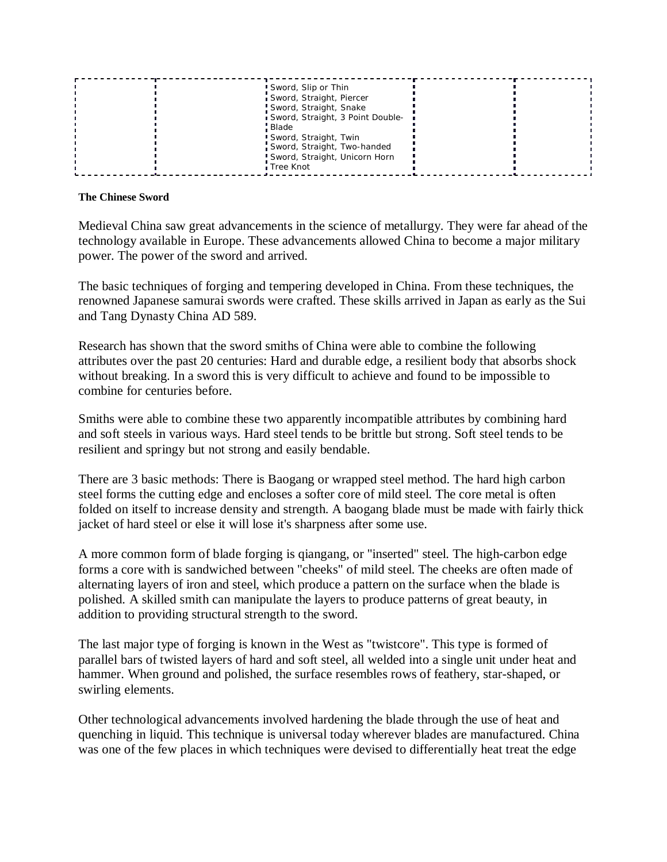| Sword, Slip or Thin<br>Sword, Straight, Piercer<br>Sword, Straight, Snake<br>Sword, Straight, 3 Point Double-<br>Blade<br>Sword, Straight, Twin<br>Sword, Straight, Two-handed<br>Sword, Straight, Unicorn Horn<br>∎Tree Knot |  |  |
|-------------------------------------------------------------------------------------------------------------------------------------------------------------------------------------------------------------------------------|--|--|
|-------------------------------------------------------------------------------------------------------------------------------------------------------------------------------------------------------------------------------|--|--|

#### **The Chinese Sword**

Medieval China saw great advancements in the science of metallurgy. They were far ahead of the technology available in Europe. These advancements allowed China to become a major military power. The power of the sword and arrived.

The basic techniques of forging and tempering developed in China. From these techniques, the renowned Japanese samurai swords were crafted. These skills arrived in Japan as early as the Sui and Tang Dynasty China AD 589.

Research has shown that the sword smiths of China were able to combine the following attributes over the past 20 centuries: Hard and durable edge, a resilient body that absorbs shock without breaking. In a sword this is very difficult to achieve and found to be impossible to combine for centuries before.

Smiths were able to combine these two apparently incompatible attributes by combining hard and soft steels in various ways. Hard steel tends to be brittle but strong. Soft steel tends to be resilient and springy but not strong and easily bendable.

There are 3 basic methods: There is Baogang or wrapped steel method. The hard high carbon steel forms the cutting edge and encloses a softer core of mild steel. The core metal is often folded on itself to increase density and strength. A baogang blade must be made with fairly thick jacket of hard steel or else it will lose it's sharpness after some use.

A more common form of blade forging is qiangang, or "inserted" steel. The high-carbon edge forms a core with is sandwiched between "cheeks" of mild steel. The cheeks are often made of alternating layers of iron and steel, which produce a pattern on the surface when the blade is polished. A skilled smith can manipulate the layers to produce patterns of great beauty, in addition to providing structural strength to the sword.

The last major type of forging is known in the West as "twistcore". This type is formed of parallel bars of twisted layers of hard and soft steel, all welded into a single unit under heat and hammer. When ground and polished, the surface resembles rows of feathery, star-shaped, or swirling elements.

Other technological advancements involved hardening the blade through the use of heat and quenching in liquid. This technique is universal today wherever blades are manufactured. China was one of the few places in which techniques were devised to differentially heat treat the edge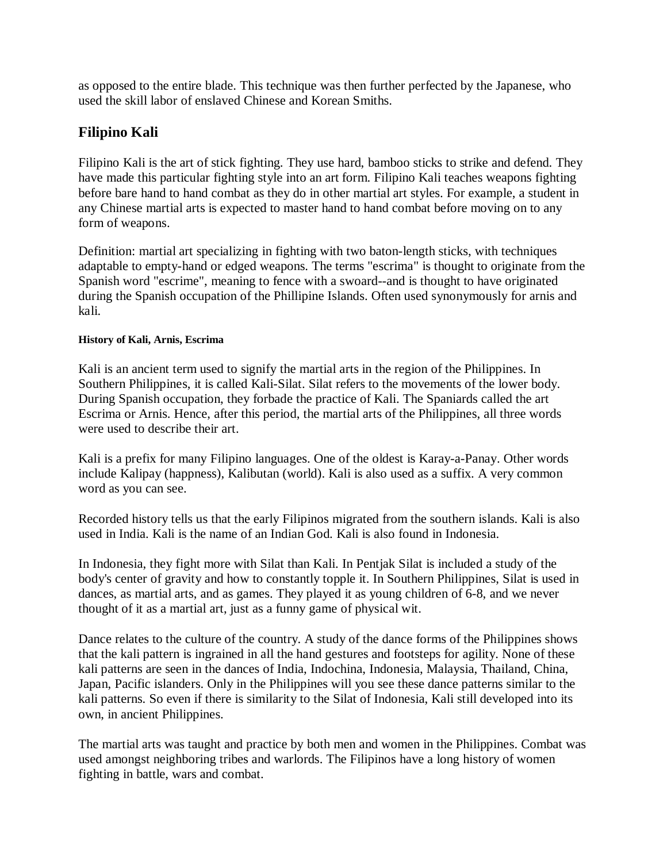as opposed to the entire blade. This technique was then further perfected by the Japanese, who used the skill labor of enslaved Chinese and Korean Smiths.

# **Filipino Kali**

Filipino Kali is the art of stick fighting. They use hard, bamboo sticks to strike and defend. They have made this particular fighting style into an art form. Filipino Kali teaches weapons fighting before bare hand to hand combat as they do in other martial art styles. For example, a student in any Chinese martial arts is expected to master hand to hand combat before moving on to any form of weapons.

Definition: martial art specializing in fighting with two baton-length sticks, with techniques adaptable to empty-hand or edged weapons. The terms "escrima" is thought to originate from the Spanish word "escrime", meaning to fence with a swoard--and is thought to have originated during the Spanish occupation of the Phillipine Islands. Often used synonymously for arnis and kali.

### **History of Kali, Arnis, Escrima**

Kali is an ancient term used to signify the martial arts in the region of the Philippines. In Southern Philippines, it is called Kali-Silat. Silat refers to the movements of the lower body. During Spanish occupation, they forbade the practice of Kali. The Spaniards called the art Escrima or Arnis. Hence, after this period, the martial arts of the Philippines, all three words were used to describe their art.

Kali is a prefix for many Filipino languages. One of the oldest is Karay-a-Panay. Other words include Kalipay (happness), Kalibutan (world). Kali is also used as a suffix. A very common word as you can see.

Recorded history tells us that the early Filipinos migrated from the southern islands. Kali is also used in India. Kali is the name of an Indian God. Kali is also found in Indonesia.

In Indonesia, they fight more with Silat than Kali. In Pentjak Silat is included a study of the body's center of gravity and how to constantly topple it. In Southern Philippines, Silat is used in dances, as martial arts, and as games. They played it as young children of 6-8, and we never thought of it as a martial art, just as a funny game of physical wit.

Dance relates to the culture of the country. A study of the dance forms of the Philippines shows that the kali pattern is ingrained in all the hand gestures and footsteps for agility. None of these kali patterns are seen in the dances of India, Indochina, Indonesia, Malaysia, Thailand, China, Japan, Pacific islanders. Only in the Philippines will you see these dance patterns similar to the kali patterns. So even if there is similarity to the Silat of Indonesia, Kali still developed into its own, in ancient Philippines.

The martial arts was taught and practice by both men and women in the Philippines. Combat was used amongst neighboring tribes and warlords. The Filipinos have a long history of women fighting in battle, wars and combat.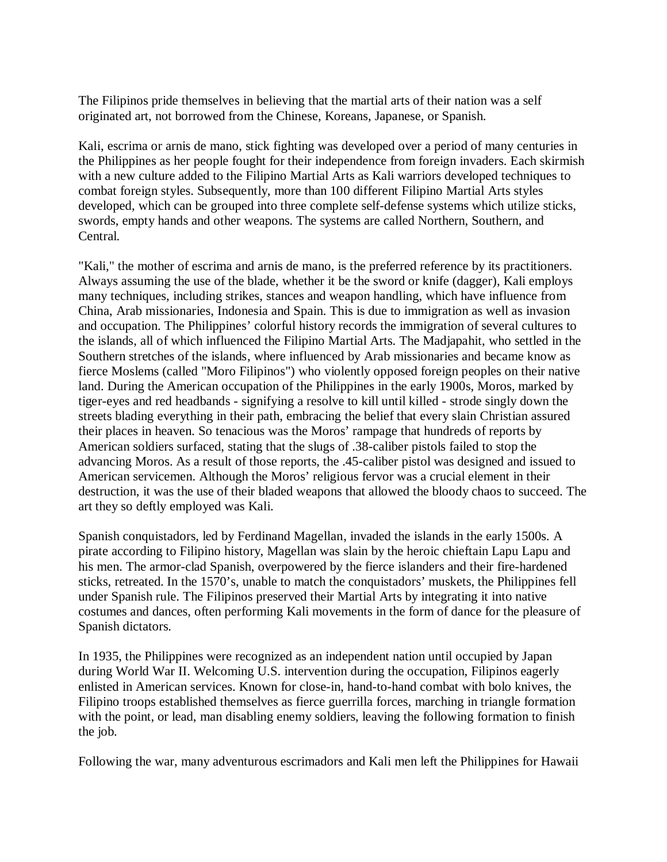The Filipinos pride themselves in believing that the martial arts of their nation was a self originated art, not borrowed from the Chinese, Koreans, Japanese, or Spanish.

Kali, escrima or arnis de mano, stick fighting was developed over a period of many centuries in the Philippines as her people fought for their independence from foreign invaders. Each skirmish with a new culture added to the Filipino Martial Arts as Kali warriors developed techniques to combat foreign styles. Subsequently, more than 100 different Filipino Martial Arts styles developed, which can be grouped into three complete self-defense systems which utilize sticks, swords, empty hands and other weapons. The systems are called Northern, Southern, and Central.

"Kali," the mother of escrima and arnis de mano, is the preferred reference by its practitioners. Always assuming the use of the blade, whether it be the sword or knife (dagger), Kali employs many techniques, including strikes, stances and weapon handling, which have influence from China, Arab missionaries, Indonesia and Spain. This is due to immigration as well as invasion and occupation. The Philippines' colorful history records the immigration of several cultures to the islands, all of which influenced the Filipino Martial Arts. The Madjapahit, who settled in the Southern stretches of the islands, where influenced by Arab missionaries and became know as fierce Moslems (called "Moro Filipinos") who violently opposed foreign peoples on their native land. During the American occupation of the Philippines in the early 1900s, Moros, marked by tiger-eyes and red headbands - signifying a resolve to kill until killed - strode singly down the streets blading everything in their path, embracing the belief that every slain Christian assured their places in heaven. So tenacious was the Moros' rampage that hundreds of reports by American soldiers surfaced, stating that the slugs of .38-caliber pistols failed to stop the advancing Moros. As a result of those reports, the .45-caliber pistol was designed and issued to American servicemen. Although the Moros' religious fervor was a crucial element in their destruction, it was the use of their bladed weapons that allowed the bloody chaos to succeed. The art they so deftly employed was Kali.

Spanish conquistadors, led by Ferdinand Magellan, invaded the islands in the early 1500s. A pirate according to Filipino history, Magellan was slain by the heroic chieftain Lapu Lapu and his men. The armor-clad Spanish, overpowered by the fierce islanders and their fire-hardened sticks, retreated. In the 1570's, unable to match the conquistadors' muskets, the Philippines fell under Spanish rule. The Filipinos preserved their Martial Arts by integrating it into native costumes and dances, often performing Kali movements in the form of dance for the pleasure of Spanish dictators.

In 1935, the Philippines were recognized as an independent nation until occupied by Japan during World War II. Welcoming U.S. intervention during the occupation, Filipinos eagerly enlisted in American services. Known for close-in, hand-to-hand combat with bolo knives, the Filipino troops established themselves as fierce guerrilla forces, marching in triangle formation with the point, or lead, man disabling enemy soldiers, leaving the following formation to finish the job.

Following the war, many adventurous escrimadors and Kali men left the Philippines for Hawaii